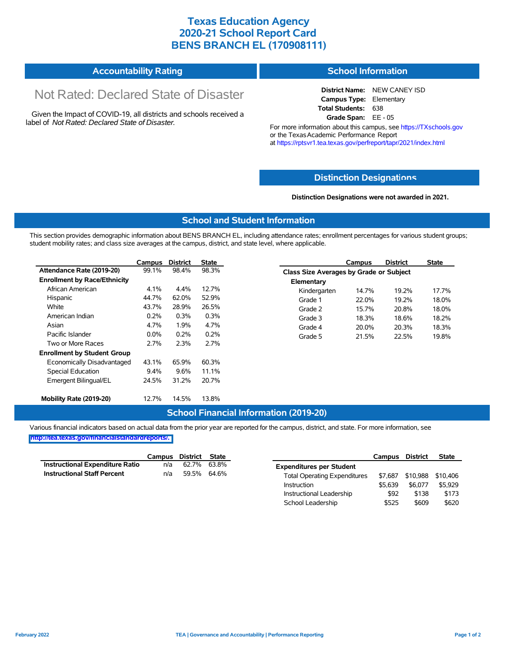## **Texas Education Agency 2020-21 School Report Card BENS BRANCH EL (170908111)**

| <b>Accountability Rating</b> | <b>School Information</b> |
|------------------------------|---------------------------|
|------------------------------|---------------------------|

# Not Rated: Declared State of Disaster

Given the Impact of COVID-19, all districts and schools received a label of *Not Rated: Declared State of Disaster.*

**District Name:** NEW CANEY ISD **Campus Type:** Elementary **Total Students:** 638 **Grade Span:** EE - 05

For more information about this campus, see https://TXschools.gov or the Texas Academic Performance Report at https://rptsvr1.tea.texas.gov/perfreport/tapr/2021/index.html

### **Distinction Designat[ions](https://TXschools.gov)**

**Distinction Designations were not awarded in 2021.**

School Leadership  $$525$   $$609$   $$620$ 

#### **School and Student Information**

This section provides demographic information about BENS BRANCH EL, including attendance rates; enrollment percentages for various student groups; student mobility rates; and class size averages at the campus, district, and state level, where applicable.

|                                     | Campus  | <b>District</b> | <b>State</b> | Campus       |                                         | <b>District</b> | <b>State</b> |  |  |  |
|-------------------------------------|---------|-----------------|--------------|--------------|-----------------------------------------|-----------------|--------------|--|--|--|
| Attendance Rate (2019-20)           | 99.1%   | 98.4%           | 98.3%        |              | Class Size Averages by Grade or Subject |                 |              |  |  |  |
| <b>Enrollment by Race/Ethnicity</b> |         |                 |              | Elementary   |                                         |                 |              |  |  |  |
| African American                    | 4.1%    | 4.4%            | 12.7%        | Kindergarten | 14.7%                                   | 19.2%           | 17.7%        |  |  |  |
| Hispanic                            | 44.7%   | 62.0%           | 52.9%        | Grade 1      | 22.0%                                   | 19.2%           | 18.0%        |  |  |  |
| White                               | 43.7%   | 28.9%           | 26.5%        | Grade 2      | 15.7%                                   | 20.8%           | 18.0%        |  |  |  |
| American Indian                     | 0.2%    | 0.3%            | 0.3%         | Grade 3      | 18.3%                                   | 18.6%           | 18.2%        |  |  |  |
| Asian                               | 4.7%    | 1.9%            | 4.7%         | Grade 4      | 20.0%                                   | 20.3%           | 18.3%        |  |  |  |
| Pacific Islander                    | $0.0\%$ | 0.2%            | 0.2%         | Grade 5      | 21.5%                                   | 22.5%           | 19.8%        |  |  |  |
| Two or More Races                   | 2.7%    | 2.3%            | 2.7%         |              |                                         |                 |              |  |  |  |
| <b>Enrollment by Student Group</b>  |         |                 |              |              |                                         |                 |              |  |  |  |
| Economically Disadvantaged          | 43.1%   | 65.9%           | 60.3%        |              |                                         |                 |              |  |  |  |
| Special Education                   | $9.4\%$ | 9.6%            | 11.1%        |              |                                         |                 |              |  |  |  |
| Emergent Bilingual/EL               | 24.5%   | 31.2%           | 20.7%        |              |                                         |                 |              |  |  |  |
|                                     |         |                 |              |              |                                         |                 |              |  |  |  |
| Mobility Rate (2019-20)             | 12.7%   | 14.5%           | 13.8%        |              |                                         |                 |              |  |  |  |

#### **School Financial Information (2019-20)**

Various financial indicators based on actual data from the prior year are reported for the campus, district, and state. For more information, see

**[http://tea.texas.gov/financialstandardreports/.](http://tea.texas.gov/financialstandardreports/)**

|                                        | Campus | District | State       |                                     | Campus  | <b>District</b>  | <b>State</b> |
|----------------------------------------|--------|----------|-------------|-------------------------------------|---------|------------------|--------------|
| <b>Instructional Expenditure Ratio</b> | n/a    | 62.7%    | 63.8%       | <b>Expenditures per Student</b>     |         |                  |              |
| <b>Instructional Staff Percent</b>     | n/a    |          | 59.5% 64.6% | <b>Total Operating Expenditures</b> |         | \$7,687 \$10,988 | \$10.406     |
|                                        |        |          |             | Instruction                         | \$5.639 | \$6,077          | \$5.929      |
|                                        |        |          |             | Instructional Leadership            | \$92    | \$138            | \$173        |